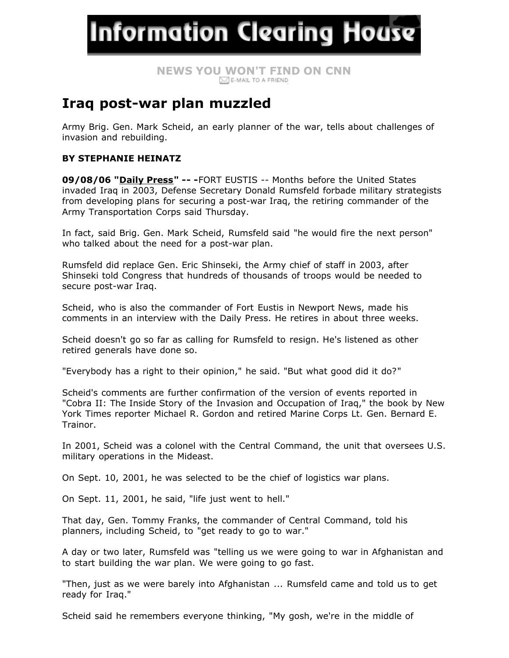**Information Clearing House** 

# **NEWS YO[U WON](mailto:?subject=Information%20Clearing%20House%20-%20%20News&Body=Thought%20you%20might%20find%20this%20interesting%20%20http://www.informationclearinghouse.info/article14890.htm)'[T FIN](mailto:?subject=Information%20Clearing%20House%20-%20%20News&Body=Thought%20you%20might%20find%20this%20interesting%20%20http://www.informationclearinghouse.info/article14890.htm)D ON CNN**

## **Iraq post-war plan muzzled**

Army Brig. Gen. Mark Scheid, an early planner of the war, tells about challenges of invasion and rebuilding.

### **BY STEPHANIE HEINATZ**

**09/08/06 "[Daily Press](http://www.dailypress.com/news/dp-21075sy0sep08,0,2264542.story?page=2&coll=dp-widget-news)" -- -**FORT EUSTIS -- Months before the United States invaded Iraq in 2003, Defense Secretary Donald Rumsfeld forbade military strategists from developing plans for securing a post-war Iraq, the retiring commander of the Army Transportation Corps said Thursday.

In fact, said Brig. Gen. Mark Scheid, Rumsfeld said "he would fire the next person" who talked about the need for a post-war plan.

Rumsfeld did replace Gen. Eric Shinseki, the Army chief of staff in 2003, after Shinseki told Congress that hundreds of thousands of troops would be needed to secure post-war Iraq.

Scheid, who is also the commander of Fort Eustis in Newport News, made his comments in an interview with the Daily Press. He retires in about three weeks.

Scheid doesn't go so far as calling for Rumsfeld to resign. He's listened as other retired generals have done so.

"Everybody has a right to their opinion," he said. "But what good did it do?"

Scheid's comments are further confirmation of the version of events reported in "Cobra II: The Inside Story of the Invasion and Occupation of Iraq," the book by New York Times reporter Michael R. Gordon and retired Marine Corps Lt. Gen. Bernard E. Trainor.

In 2001, Scheid was a colonel with the Central Command, the unit that oversees U.S. military operations in the Mideast.

On Sept. 10, 2001, he was selected to be the chief of logistics war plans.

On Sept. 11, 2001, he said, "life just went to hell."

That day, Gen. Tommy Franks, the commander of Central Command, told his planners, including Scheid, to "get ready to go to war."

A day or two later, Rumsfeld was "telling us we were going to war in Afghanistan and to start building the war plan. We were going to go fast.

"Then, just as we were barely into Afghanistan ... Rumsfeld came and told us to get ready for Iraq."

Scheid said he remembers everyone thinking, "My gosh, we're in the middle of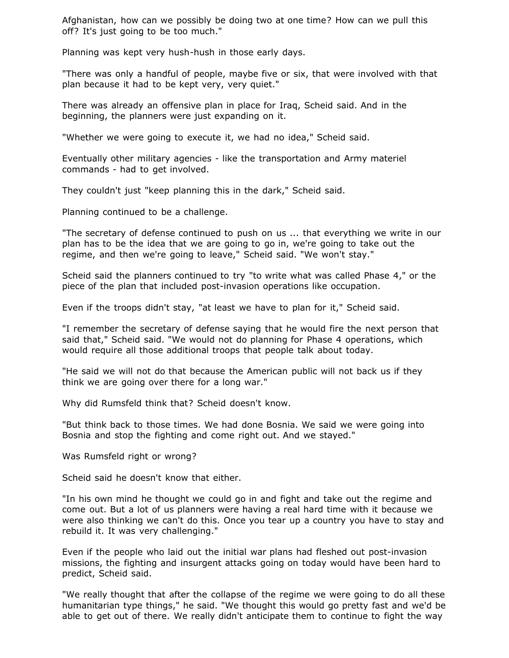Afghanistan, how can we possibly be doing two at one time? How can we pull this off? It's just going to be too much."

Planning was kept very hush-hush in those early days.

"There was only a handful of people, maybe five or six, that were involved with that plan because it had to be kept very, very quiet."

There was already an offensive plan in place for Iraq, Scheid said. And in the beginning, the planners were just expanding on it.

"Whether we were going to execute it, we had no idea," Scheid said.

Eventually other military agencies - like the transportation and Army materiel commands - had to get involved.

They couldn't just "keep planning this in the dark," Scheid said.

Planning continued to be a challenge.

"The secretary of defense continued to push on us ... that everything we write in our plan has to be the idea that we are going to go in, we're going to take out the regime, and then we're going to leave," Scheid said. "We won't stay."

Scheid said the planners continued to try "to write what was called Phase 4," or the piece of the plan that included post-invasion operations like occupation.

Even if the troops didn't stay, "at least we have to plan for it," Scheid said.

"I remember the secretary of defense saying that he would fire the next person that said that," Scheid said. "We would not do planning for Phase 4 operations, which would require all those additional troops that people talk about today.

"He said we will not do that because the American public will not back us if they think we are going over there for a long war."

Why did Rumsfeld think that? Scheid doesn't know.

"But think back to those times. We had done Bosnia. We said we were going into Bosnia and stop the fighting and come right out. And we stayed."

Was Rumsfeld right or wrong?

Scheid said he doesn't know that either.

"In his own mind he thought we could go in and fight and take out the regime and come out. But a lot of us planners were having a real hard time with it because we were also thinking we can't do this. Once you tear up a country you have to stay and rebuild it. It was very challenging."

Even if the people who laid out the initial war plans had fleshed out post-invasion missions, the fighting and insurgent attacks going on today would have been hard to predict, Scheid said.

"We really thought that after the collapse of the regime we were going to do all these humanitarian type things," he said. "We thought this would go pretty fast and we'd be able to get out of there. We really didn't anticipate them to continue to fight the way